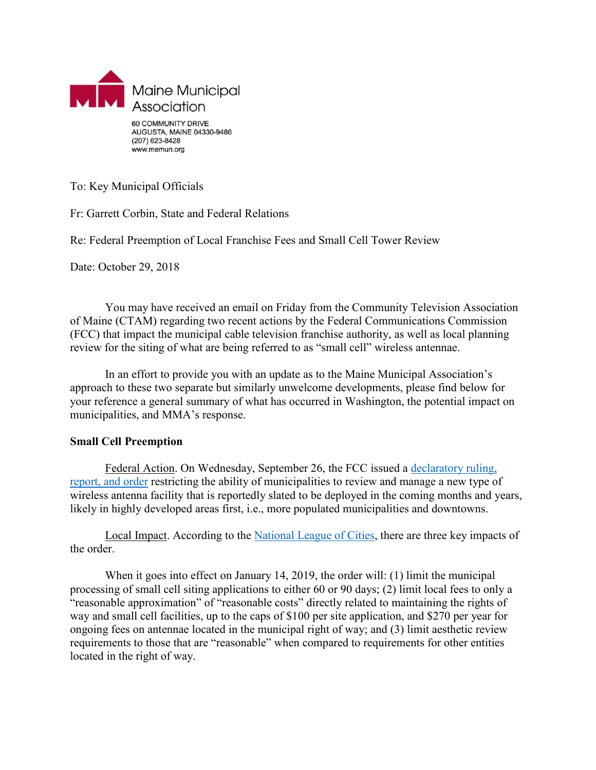

To: Key Municipal Officials

Fr: Garrett Corbin, State and Federal Relations

Re: Federal Preemption of Local Franchise Fees and Small Cell Tower Review

Date: October 29, 2018

You may have received an email on Friday from the Community Television Association of Maine (CTAM) regarding two recent actions by the Federal Communications Commission (FCC) that impact the municipal cable television franchise authority, as well as local planning review for the siting of what are being referred to as "small cell" wireless antennae.

In an effort to provide you with an update as to the Maine Municipal Association's approach to these two separate but similarly unwelcome developments, please find below for your reference a general summary of what has occurred in Washington, the potential impact on municipalities, and MMA's response.

## **Small Cell Preemption**

Federal Action. On Wednesday, September 26, the FCC issued a [declaratory ruling,](https://www.fcc.gov/document/fcc-streamlines-deployment-next-generation-wireless-infrastructure)  [report, and order](https://www.fcc.gov/document/fcc-streamlines-deployment-next-generation-wireless-infrastructure) restricting the ability of municipalities to review and manage a new type of wireless antenna facility that is reportedly slated to be deployed in the coming months and years, likely in highly developed areas first, i.e., more populated municipalities and downtowns.

Local Impact. According to the [National League of Cities,](https://citiesspeak.org/2018/09/26/five-takeaways-for-cities-from-the-fccs-small-cell-preemption-order/) there are three key impacts of the order.

When it goes into effect on January 14, 2019, the order will: (1) limit the municipal processing of small cell siting applications to either 60 or 90 days; (2) limit local fees to only a "reasonable approximation" of "reasonable costs" directly related to maintaining the rights of way and small cell facilities, up to the caps of \$100 per site application, and \$270 per year for ongoing fees on antennae located in the municipal right of way; and (3) limit aesthetic review requirements to those that are "reasonable" when compared to requirements for other entities located in the right of way.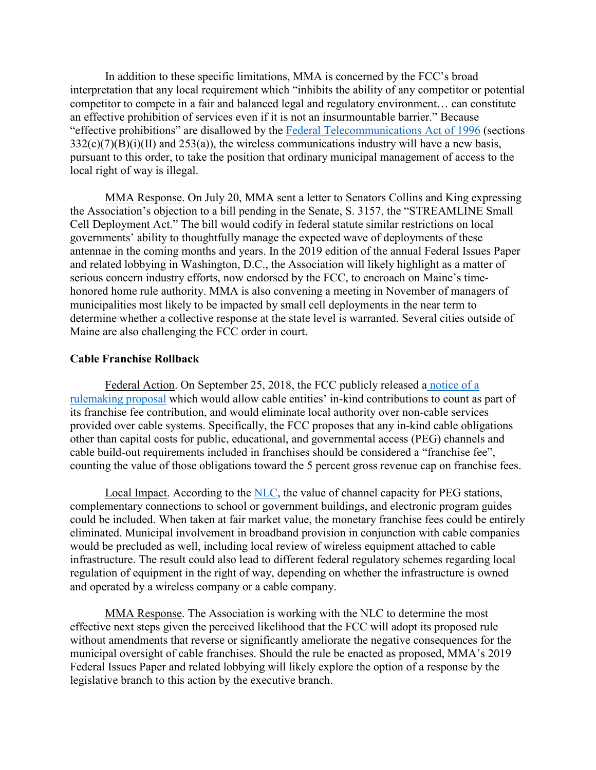In addition to these specific limitations, MMA is concerned by the FCC's broad interpretation that any local requirement which "inhibits the ability of any competitor or potential competitor to compete in a fair and balanced legal and regulatory environment… can constitute an effective prohibition of services even if it is not an insurmountable barrier." Because "effective prohibitions" are disallowed by the [Federal Telecommunications Act of 1996](https://www.fcc.gov/general/telecommunications-act-1996) (sections  $332(c)(7)(B)(i)(II)$  and  $253(a)$ ), the wireless communications industry will have a new basis, pursuant to this order, to take the position that ordinary municipal management of access to the local right of way is illegal.

MMA Response. On July 20, MMA sent a letter to Senators Collins and King expressing the Association's objection to a bill pending in the Senate, S. 3157, the "STREAMLINE Small Cell Deployment Act." The bill would codify in federal statute similar restrictions on local governments' ability to thoughtfully manage the expected wave of deployments of these antennae in the coming months and years. In the 2019 edition of the annual Federal Issues Paper and related lobbying in Washington, D.C., the Association will likely highlight as a matter of serious concern industry efforts, now endorsed by the FCC, to encroach on Maine's timehonored home rule authority. MMA is also convening a meeting in November of managers of municipalities most likely to be impacted by small cell deployments in the near term to determine whether a collective response at the state level is warranted. Several cities outside of Maine are also challenging the FCC order in court.

## **Cable Franchise Rollback**

Federal Action. On September 25, 2018, the FCC publicly released a [notice of a](https://www.nlc.org/sites/default/files/users/user53741/FCC-18-131A1%20(2).pdf)  [rulemaking proposal](https://www.nlc.org/sites/default/files/users/user53741/FCC-18-131A1%20(2).pdf) which would allow cable entities' in-kind contributions to count as part of its franchise fee contribution, and would eliminate local authority over non-cable services provided over cable systems. Specifically, the FCC proposes that any in-kind cable obligations other than capital costs for public, educational, and governmental access (PEG) channels and cable build-out requirements included in franchises should be considered a "franchise fee", counting the value of those obligations toward the 5 percent gross revenue cap on franchise fees.

Local Impact. According to the [NLC,](https://www.nlc.org/article/federal-advocacy-update-week-of-october-16-2018#proposesnew) the value of channel capacity for PEG stations, complementary connections to school or government buildings, and electronic program guides could be included. When taken at fair market value, the monetary franchise fees could be entirely eliminated. Municipal involvement in broadband provision in conjunction with cable companies would be precluded as well, including local review of wireless equipment attached to cable infrastructure. The result could also lead to different federal regulatory schemes regarding local regulation of equipment in the right of way, depending on whether the infrastructure is owned and operated by a wireless company or a cable company.

MMA Response. The Association is working with the NLC to determine the most effective next steps given the perceived likelihood that the FCC will adopt its proposed rule without amendments that reverse or significantly ameliorate the negative consequences for the municipal oversight of cable franchises. Should the rule be enacted as proposed, MMA's 2019 Federal Issues Paper and related lobbying will likely explore the option of a response by the legislative branch to this action by the executive branch.